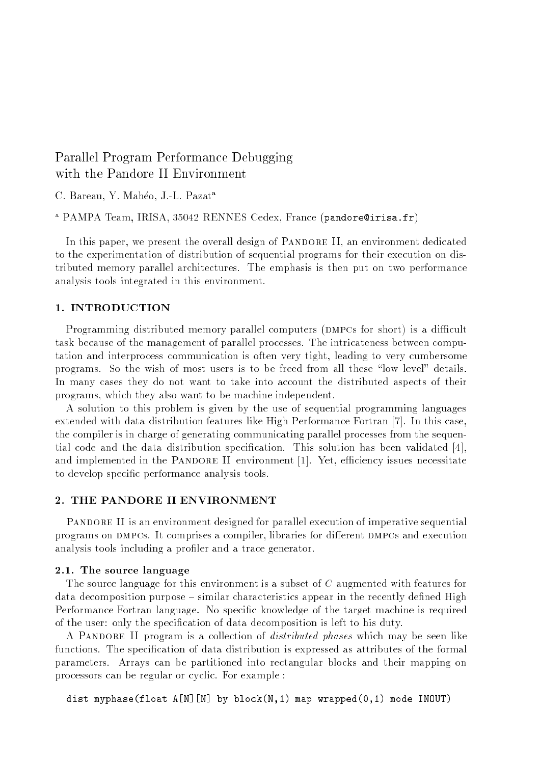# Parallel Program Performance Debugging

C. Bareau, Y. Maheo, J.-L. Pazat<sup>a</sup>

<sup>a</sup> PAMPA Team, IRISA, 35042 RENNES Cedex, France (pandore@irisa.fr)

In this paper, we present the overall design of PANDORE II, an environment dedicated to the experimentation of distribution of sequential programs for their execution on distributed memory parallel architectures. The emphasis is then put on two performance analysis tools integrated in this environment.

# 1. INTRODUCTION

Programming distributed memory parallel computers (DMPCs for short) is a difficult task because of the management of parallel processes. The intricateness between computation and interprocess communication is often very tight, leading to very cumbersome programs. So the wish of most users is to be freed from all these \low level" details. In many cases they do not want to take into account the distributed aspects of their programs, which they also want to be machine independent.

A solution to this problem is given by the use of sequential programming languages extended with data distribution features like High Performance Fortran [7]. In this case, the compiler is in charge of generating communicating parallel processes from the sequential code and the data distribution specication. This solution has been validated [4], and implemented in the PANDORE II environment [1]. Yet, efficiency issues necessitate to develop specic performance analysis tools.

# 2. THE PANDORE II ENVIRONMENT

PANDORE II is an environment designed for parallel execution of imperative sequential programs on DMPCs. It comprises a compiler, libraries for different DMPCs and execution analysis tools including a profiler and a trace generator.

#### 2.1. The source language

The source language for this environment is a subset of  $C$  augmented with features for data decomposition purpose – similar characteristics appear in the recently defined High Performance Fortran language. No specific knowledge of the target machine is required of the user: only the specication of data decomposition is left to his duty.

A PANDORE II program is a collection of *distributed phases* which may be seen like functions. The specication of data distribution is expressed as attributes of the formal parameters. Arrays can be partitioned into rectangular blocks and their mapping on processors can be regular or cyclic. For example :

dist myphase(float A[N][N] by block(N,1) map wrapped(0,1) mode INOUT)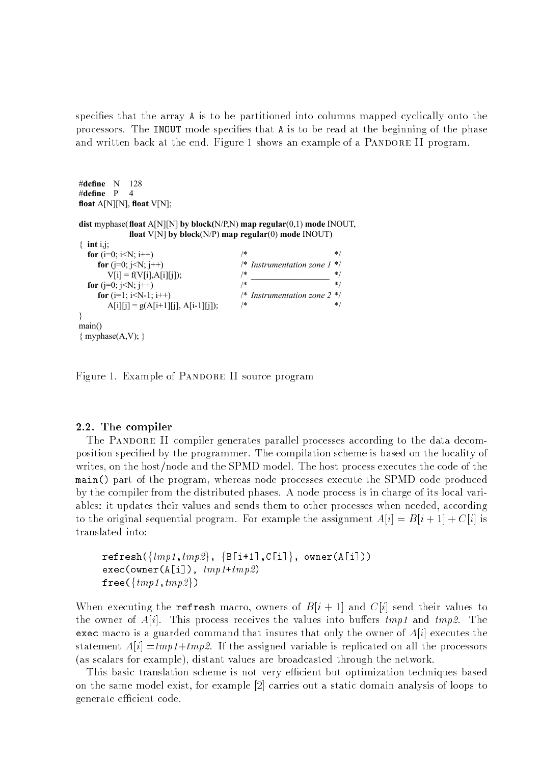specifies that the array A is to be partitioned into columns mapped cyclically onto the processors. The INOUT mode specifies that A is to be read at the beginning of the phase and written back at the end. Figure 1 shows an example of a PANDORE II program.

```
#define N 128
#define P 4
float A[N][N], float V[N];
dist myphase(float A[N][N] by block(N/P,N) map regular(0,1) mode INOUT,
                   float V[N] by block(N/P) map regular(0) mode INOUT)
\{ int i,j;
   for (i=0; i < N; i++) /* *for (j=0; j<N; j++) <br> \begin{array}{ll}\n\begin{array}{ll}\n\text{for (j=0; j<N; j++)} \\
\text{V} \text{if} & = \text{f}(V \text{if} | \text{A} \text{f} \text{if} \text{if}) \\
\end{array}\n\end{array} /* Instrumentation zone 1 */
           V[i] = f(V[i], A[i][j]), \qquad \qquad \frac{*}{*} \qquad \qquad \frac{*}{*}for (i=0; i< N; i++)for (i=1; i<N-1; i++) <br>A \left| \begin{array}{cc} f & \text{for } (i=1; i\leq N-1; i++) \\ A & \text{for } (i=1; i\leq N-1) \end{array} \right| /* Instrumentation zone 2 */
           A[i][j] = g(A[i+1][j], A[i-1][j]),}
main()
{ myphase(A,V); }
```
Figure 1. Example of PANDORE II source program

# 2.2. The compiler

The PANDORE II compiler generates parallel processes according to the data decomposition specified by the programmer. The compilation scheme is based on the locality of writes, on the host/node and the SPMD model. The host process executes the code of the main() part of the program, whereas node processes execute the SPMD code produced by the compiler from the distributed phases. A node process is in charge of its local variables: it updates their values and sends them to other processes when needed, according to the original sequential program. For example the assignment  $A[i] = B[i+1] + C[i]$  is translated into:

```
\verb|refresh({\{tmp1,tmp2\}, \{B[i+1], C[i]\}, owner(A[i]))|exec(owner(A[i]), tmp1+tmp2)free({\{tmp1,tmp2\}})
```
When executing the refresh macro, owners of  $B[i + 1]$  and  $C[i]$  send their values to the owner of  $A[i]$ . This process receives the values into buffers  $tmp1$  and  $tmp2$ . The exec macro is a guarded command that insures that only the owner of  $A[i]$  executes the statement  $A[i] = tmp1+tmp2$ . If the assigned variable is replicated on all the processors (as scalars for example), distant values are broadcasted through the network.

This basic translation scheme is not very efficient but optimization techniques based on the same model exist, for example [2] carries out a static domain analysis of loops to generate efficient code.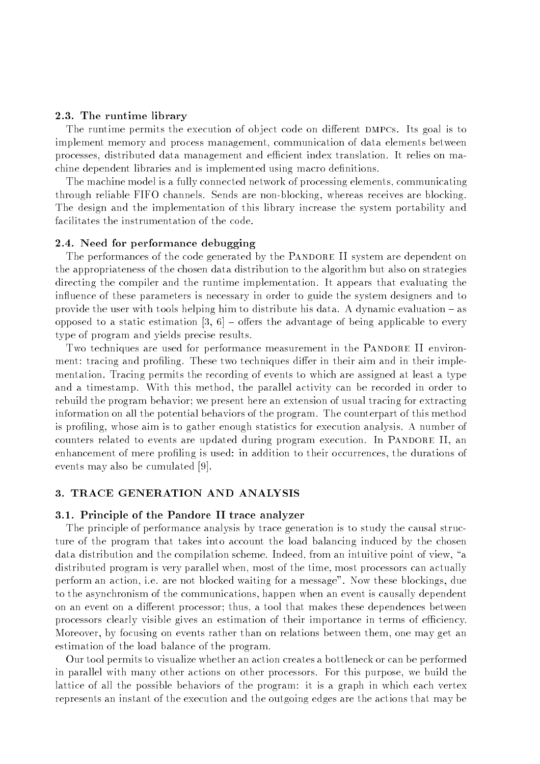# 2.3. The runtime library

The runtime permits the execution of object code on different DMPCs. Its goal is to implement memory and process management, communication of data elements between processes, distributed data management and ecient index translation. It relies on machine dependent libraries and is implemented using macro denitions.

The machine model is a fully connected network of processing elements, communicating through reliable FIFO channels. Sends are non-blocking, whereas receives are blocking. The design and the implementation of this library increase the system portability and facilitates the instrumentation of the code.

# 2.4. Need for performance debugging

The performances of the code generated by the PANDORE II system are dependent on the appropriateness of the chosen data distribution to the algorithm but also on strategies directing the compiler and the runtime implementation. It appears that evaluating the influence of these parameters is necessary in order to guide the system designers and to provide the user with tools helping him to distribute his data. A dynamic evaluation  $-$  as opposed to a static estimation [3, 6]  $-$  offers the advantage of being applicable to every type of program and yields precise results.

Two techniques are used for performance measurement in the PANDORE II environment: tracing and profiling. These two techniques differ in their aim and in their implementation. Tracing permits the recording of events to which are assigned at least a type and a timestamp. With this method, the parallel activity can be recorded in order to rebuild the program behavior; we present here an extension of usual tracing for extracting information on all the potential behaviors of the program. The counterpart of this method is profiling, whose aim is to gather enough statistics for execution analysis. A number of counters related to events are updated during program execution. In PANDORE II, an enhancement of mere profiling is used: in addition to their occurrences, the durations of events may also be cumulated [9].

# 3. TRACE GENERATION AND ANALYSIS

#### 3.1. Principle of the Pandore II trace analyzer

The principle of performance analysis by trace generation is to study the causal structure of the program that takes into account the load balancing induced by the chosen data distribution and the compilation scheme. Indeed, from an intuitive point of view, "a distributed program is very parallel when, most of the time, most processors can actually perform an action, i.e. are not blocked waiting for a message". Now these blockings, due to the asynchronism of the communications, happen when an event is causally dependent on an event on a different processor; thus, a tool that makes these dependences between processors clearly visible gives an estimation of their importance in terms of efficiency. Moreover, by focusing on events rather than on relations between them, one may get an estimation of the load balance of the program.

Our tool permits to visualize whether an action creates a bottleneck or can be performed in parallel with many other actions on other processors. For this purpose, we build the lattice of all the possible behaviors of the program: it is a graph in which each vertex represents an instant of the execution and the outgoing edges are the actions that may be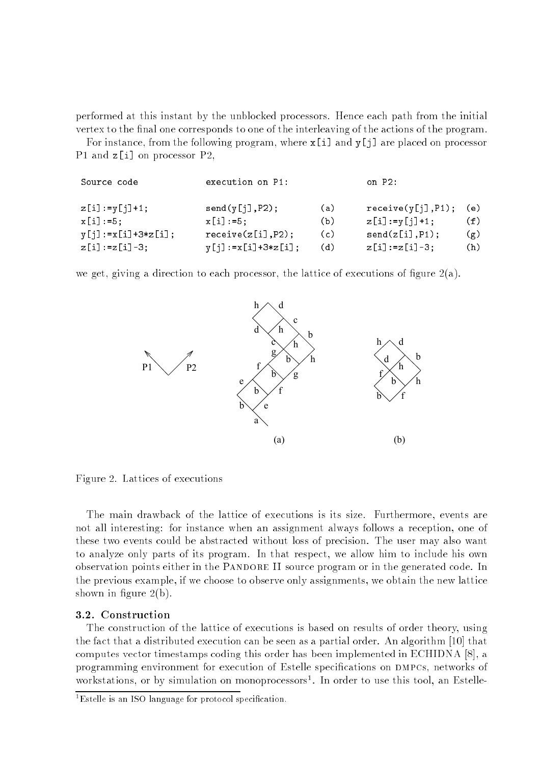performed at this instant by the unblocked processors. Hence each path from the initial vertex to the final one corresponds to one of the interleaving of the actions of the program.

For instance, from the following program, where  $x[i]$  and  $y[i]$  are placed on processor P1 and z[i] on processor P2,

| Source code              | execution on P1:           |     | on $P2$ :           |     |
|--------------------------|----------------------------|-----|---------------------|-----|
| $z[i] := y[j]+1;$        | send(y[j], P2);            | (a) | receive(y[j], P1);  | (e) |
| $x[i] := 5$ ;            | $x[i] := 5:$               | (b) | $z[i]$ :=y[j]+1;    | (f) |
| $y[j] := x[i] + 3*z[i];$ | receive(z[i], P2);         | (c) | send(z[i], P1);     | (g) |
| $z[i] := z[i] - 3;$      | $y[j] := x[i] + 3 * z[i];$ | (d) | $z[i] := z[i] - 3;$ | (h) |

we get, giving a direction to each processor, the lattice of executions of figure  $2(a)$ .



Figure 2. Lattices of executions

The main drawback of the lattice of executions is its size. Furthermore, events are not all interesting: for instance when an assignment always follows a reception, one of these two events could be abstracted without loss of precision. The user may also want to analyze only parts of its program. In that respect, we allow him to include his own observation points either in the Pandore II source program or in the generated code. In the previous example, if we choose to observe only assignments, we obtain the new lattice shown in figure  $2(b)$ .

# 3.2. Construction

The construction of the lattice of executions is based on results of order theory, using the fact that a distributed execution can be seen as a partial order. An algorithm [10] that computes vector timestamps coding this order has been implemented in ECHIDNA [8], a programming environment for execution of Estelle specications on dmpcs, networks of workstations, or by simulation on monoprocessors . In order to use this tool, an Estelle-

<sup>-</sup>Estelle is an ISO language for protocol specification.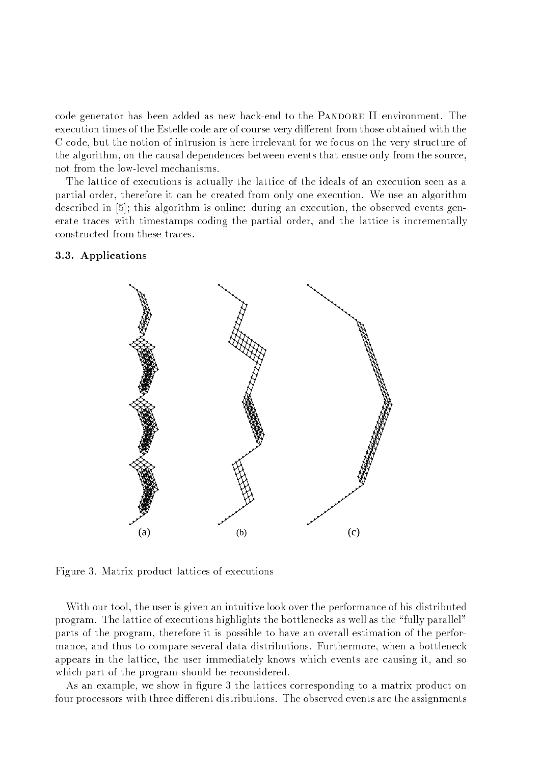code generator has been added as new back-end to the PANDORE II environment. The execution times of the Estelle code are of course very different from those obtained with the C code, but the notion of intrusion is here irrelevant for we focus on the very structure of the algorithm, on the causal dependences between events that ensue only from the source, not from the low-level mechanisms.

The lattice of executions is actually the lattice of the ideals of an execution seen as a partial order, therefore it can be created from only one execution. We use an algorithm described in [5]; this algorithm is online: during an execution, the observed events generate traces with timestamps coding the partial order, and the lattice is incrementally constructed from these traces.

#### (a) • • • • • • • • • å • • e<br>B • • • • • • • • • • • • • • • • • • • • • • • • • • • • • • • • • • • • • • • • • • • • • • • • • • • • • • • • • • • • • • • • • • • • • • • • • • • • • • • å • e<br>S • • • • • • • • • • • • • • • • • • • • • • • • • • • • • • • • • • • • • • • • • • • • • • • • • • • • • • • • •  $\lambda$ • • • • • • • • • • • • • • • • • • • • • ě • e<br>B • • • • • • • • • • • • • • • • • • • • • • • • • • • • • • • • • • • • • • • • • • • • • • • • • • • • • • • • • • • • • • • • • • • • • • • • • • • • • • • • • • • • • • • • • • • • • • • • • • • • • • • • • • (b) • • • • • • • • • • • • • • • • • • • • • • • • • • • • • • • • • • • • • • • • • • • • • • • • • • • • • • • •• • • • • • • • • • • • • • • • • • • • • • • • • • • • • • • • • • • • • • • • • • • • • • • • • • • • • • • • • • • • • • • • • • • • • • • • • • • • • • • • • • • • • • • • • • • • • • • • • • • • • • • • • (c) • • • • • • • • • • • • • • • • • • • • • • • • • • • • • • • • • • • Å Å • • • • Å • • • •• •• • • • • • • • • • • • • • • • • • • • • • • • • • • • • • • • • • • • • • • • • • • • • • • • • • • • • • • • • • • • • • • • • • • • • • • • • • • • • • • • • • • • • • • • • • • • • • • • •

## 3.3. Applications

Figure 3. Matrix product lattices of executions

With our tool, the user is given an intuitive look over the performance of his distributed program. The lattice of executions highlights the bottlenecks as well as the \fully parallel" parts of the program, therefore it is possible to have an overall estimation of the performance, and thus to compare several data distributions. Furthermore, when a bottleneck appears in the lattice, the user immediately knows which events are causing it, and so which part of the program should be reconsidered.

As an example, we show in figure 3 the lattices corresponding to a matrix product on four processors with three different distributions. The observed events are the assignments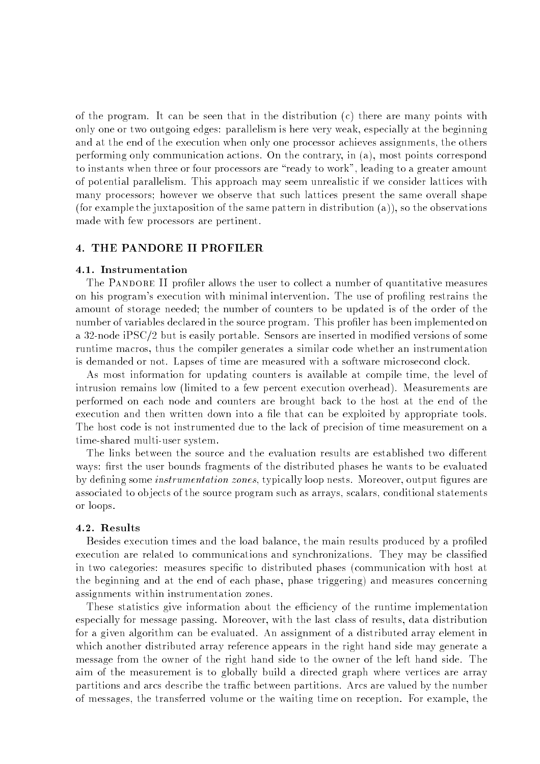of the program. It can be seen that in the distribution  $(c)$  there are many points with only one or two outgoing edges: parallelism is here very weak, especially at the beginning and at the end of the execution when only one processor achieves assignments, the others performing only communication actions. On the contrary, in (a), most points correspond to instants when three or four processors are "ready to work", leading to a greater amount of potential parallelism. This approach may seem unrealistic if we consider lattices with many processors; however we observe that such lattices present the same overall shape (for example the juxtaposition of the same pattern in distribution (a)), so the observations made with few processors are pertinent.

# 4. THE PANDORE II PROFILER

#### 4.1. Instrumentation

The PANDORE II profiler allows the user to collect a number of quantitative measures on his program's execution with minimal intervention. The use of profiling restrains the amount of storage needed; the number of counters to be updated is of the order of the number of variables declared in the source program. This profiler has been implemented on a 32-node iPSC/2 but is easily portable. Sensors are inserted in modied versions of some runtime macros, thus the compiler generates a similar code whether an instrumentation is demanded or not. Lapses of time are measured with a software microsecond clock.

As most information for updating counters is available at compile time, the level of intrusion remains low (limited to a few percent execution overhead). Measurements are performed on each node and counters are brought back to the host at the end of the execution and then written down into a file that can be exploited by appropriate tools. The host code is not instrumented due to the lack of precision of time measurement on a time-shared multi-user system.

The links between the source and the evaluation results are established two different ways: first the user bounds fragments of the distributed phases he wants to be evaluated by defining some *instrumentation zones*, typically loop nests. Moreover, output figures are associated to ob jects of the source program such as arrays, scalars, conditional statements or loops.

#### 4.2. Results

Besides execution times and the load balance, the main results produced by a profiled execution are related to communications and synchronizations. They may be classied in two categories: measures specific to distributed phases (communication with host at the beginning and at the end of each phase, phase triggering) and measures concerning assignments within instrumentation zones.

These statistics give information about the efficiency of the runtime implementation especially for message passing. Moreover, with the last class of results, data distribution for a given algorithm can be evaluated. An assignment of a distributed array element in which another distributed array reference appears in the right hand side may generate a message from the owner of the right hand side to the owner of the left hand side. The aim of the measurement is to globally build a directed graph where vertices are array partitions and arcs describe the traffic between partitions. Arcs are valued by the number of messages, the transferred volume or the waiting time on reception. For example, the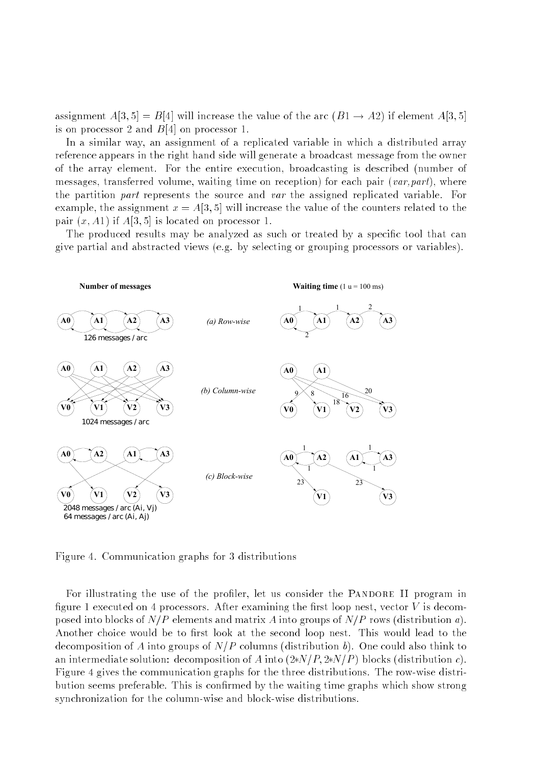assignment  $A[3, 5] = B[4]$  will increase the value of the arc  $(B1 \rightarrow A2)$  if element  $A[3, 5]$ is on processor 2 and B[4] on processor 1.

In a similar way, an assignment of a replicated variable in which a distributed array reference appears in the right hand side will generate a broadcast message from the owner of the array element. For the entire execution, broadcasting is described (number of messages, transferred volume, waiting time on reception) for each pair  $(var, part)$ , where the partition part represents the source and var the assigned replicated variable. For example, the assignment  $x = A[3, 5]$  will increase the value of the counters related to the pair  $(x, A1)$  if  $A[3, 5]$  is located on processor 1.

The produced results may be analyzed as such or treated by a specific tool that can give partial and abstracted views (e.g. by selecting or grouping processors or variables).



Figure 4. Communication graphs for 3 distributions

For illustrating the use of the profiler, let us consider the PANDORE II program in figure 1 executed on 4 processors. After examining the first loop nest, vector  $V$  is decomposed into blocks of  $N/P$  elements and matrix A into groups of  $N/P$  rows (distribution a). Another choice would be to first look at the second loop nest. This would lead to the decomposition of A into groups of  $N/P$  columns (distribution b). One could also think to an intermediate solution: decomposition of A into  $(2*N/P, 2*N/P)$  blocks (distribution c). Figure 4 gives the communication graphs for the three distributions. The row-wise distribution seems preferable. This is confirmed by the waiting time graphs which show strong synchronization for the column-wise and block-wise distributions.